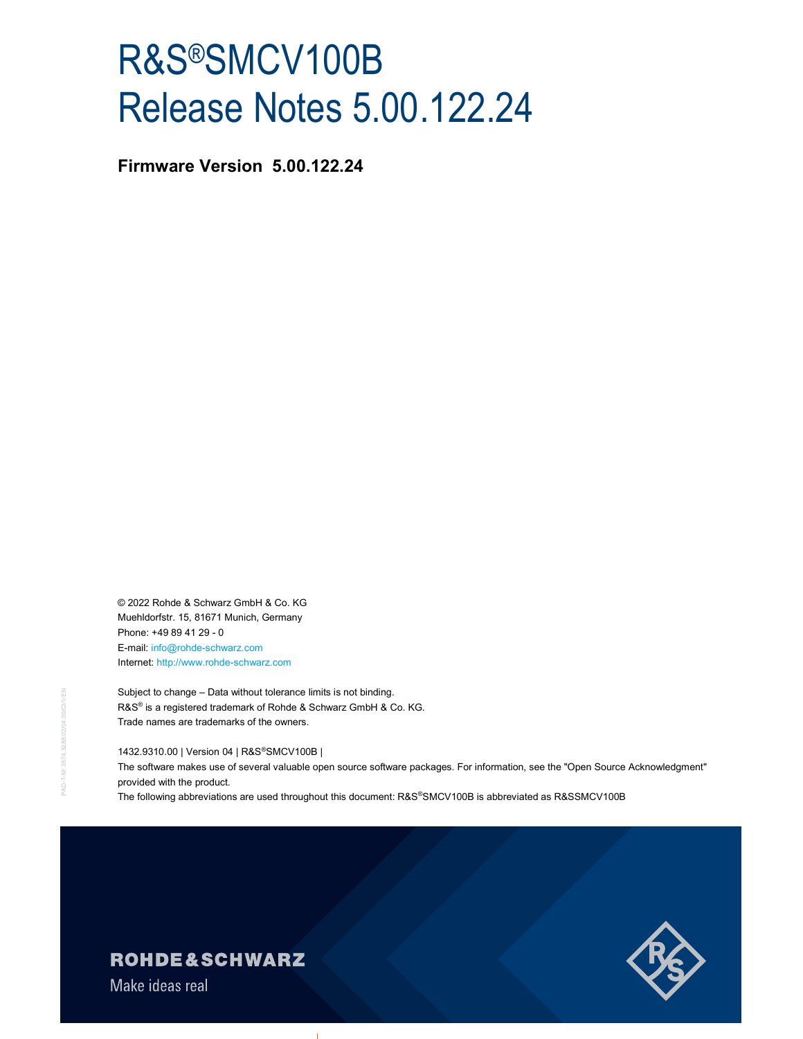# R&S®SMCV100B Release Notes 5.00.122.24

Firmware Version 5.00.122.24

© 2022 Rohde & Schwarz GmbH & Co. KG Muehldorfstr. 15, 81671 Munich, Germany Phone: +49 89 41 29 - 0 E-mail: info@rohde-schwarz.com Internet: http://www.rohde-schwarz.com

Subject to change – Data without tolerance limits is not bind<br>
R&S® is a registered trademark of Rohde & Schwarz Gmb<br>
Trade names are trademarks of the owners.<br>
1432.9310.00 | Version 04 | R&S®SMCV100B |<br>
The software make Subject to change – Data without tolerance limits is not binding. R&S<sup>®</sup> is a registered trademark of Rohde & Schwarz GmbH & Co. KG. Trade names are trademarks of the owners.

1432.9310.00 | Version 04 | R&S®SMCV100B |

The software makes use of several valuable open source software packages. For information, see the "Open Source Acknowledgment" provided with the product.

The following abbreviations are used throughout this document: R&S®SMCV100B is abbreviated as R&SSMCV100B



# **ROHDE&SCHWARZ**

Make ideas real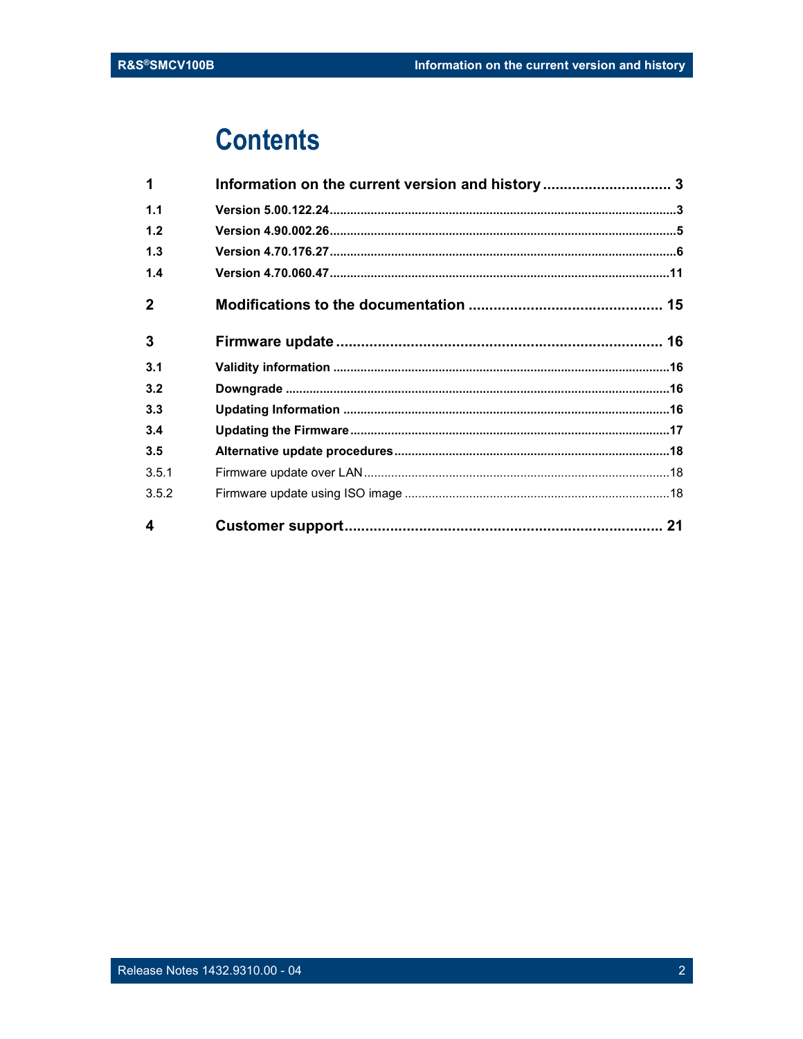# **Contents**

| $\boldsymbol{\Delta}$ |                                                  |  |
|-----------------------|--------------------------------------------------|--|
| 3.5.2                 |                                                  |  |
| 3.5.1                 |                                                  |  |
| 3.5                   |                                                  |  |
| 3.4                   |                                                  |  |
| 3.3                   |                                                  |  |
| 3.2                   |                                                  |  |
| 3.1                   |                                                  |  |
| 3                     |                                                  |  |
| $\overline{2}$        |                                                  |  |
| 1.4                   |                                                  |  |
| 1.3                   |                                                  |  |
| 1.2                   |                                                  |  |
| 1.1                   |                                                  |  |
| 1                     | Information on the current version and history 3 |  |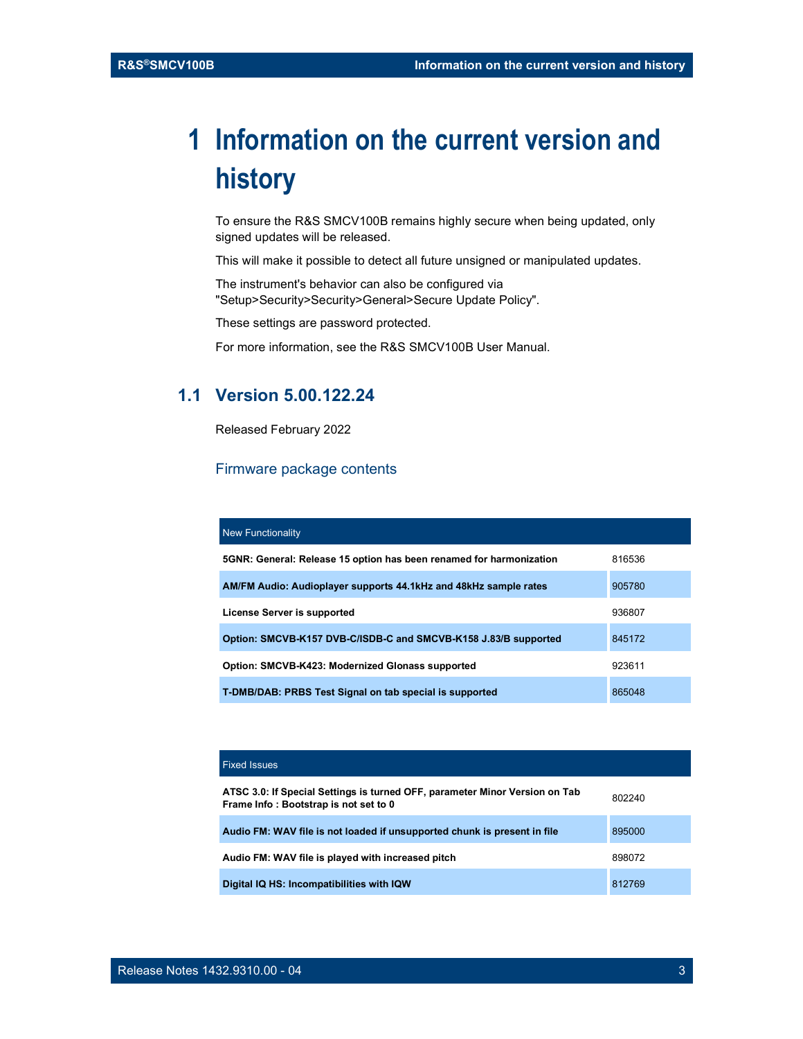# 1 Information on the current version and history

To ensure the R&S SMCV100B remains highly secure when being updated, only signed updates will be released.

This will make it possible to detect all future unsigned or manipulated updates.

The instrument's behavior can also be configured via "Setup>Security>Security>General>Secure Update Policy".

These settings are password protected.

For more information, see the R&S SMCV100B User Manual.

### 1.1 Version 5.00.122.24

Released February 2022

#### Firmware package contents

| <b>New Functionality</b>                                            |        |
|---------------------------------------------------------------------|--------|
| 5GNR: General: Release 15 option has been renamed for harmonization | 816536 |
| AM/FM Audio: Audioplayer supports 44.1kHz and 48kHz sample rates    | 905780 |
| License Server is supported                                         | 936807 |
| Option: SMCVB-K157 DVB-C/ISDB-C and SMCVB-K158 J.83/B supported     | 845172 |
| Option: SMCVB-K423: Modernized Glonass supported                    | 923611 |
| T-DMB/DAB: PRBS Test Signal on tab special is supported             | 865048 |

| <b>Fixed Issues</b>                                                                                                  |        |
|----------------------------------------------------------------------------------------------------------------------|--------|
| ATSC 3.0: If Special Settings is turned OFF, parameter Minor Version on Tab<br>Frame Info: Bootstrap is not set to 0 | 802240 |
| Audio FM: WAV file is not loaded if unsupported chunk is present in file                                             | 895000 |
| Audio FM: WAV file is played with increased pitch                                                                    | 898072 |
| Digital IQ HS: Incompatibilities with IQW                                                                            | 812769 |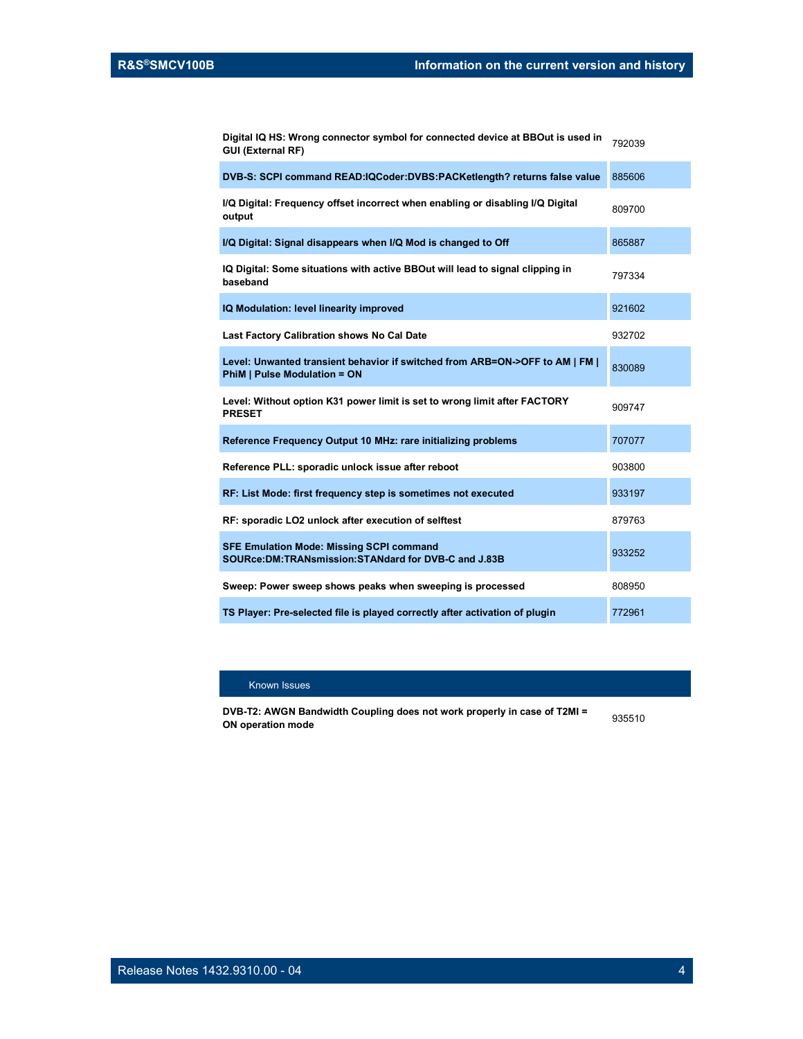Digital IQ HS: Wrong connector symbol for connected device at BBOut is used in <sub>792039</sub><br>GUI (External RF)

| DVB-S: SCPI command READ:IQCoder:DVBS:PACKetlength? returns false value                                             | 885606 |
|---------------------------------------------------------------------------------------------------------------------|--------|
| I/Q Digital: Frequency offset incorrect when enabling or disabling I/Q Digital<br>output                            | 809700 |
| I/Q Digital: Signal disappears when I/Q Mod is changed to Off                                                       | 865887 |
| IQ Digital: Some situations with active BBOut will lead to signal clipping in<br>baseband                           | 797334 |
| IQ Modulation: level linearity improved                                                                             | 921602 |
| Last Factory Calibration shows No Cal Date                                                                          | 932702 |
| Level: Unwanted transient behavior if switched from ARB=ON->OFF to AM   FM  <br><b>PhiM   Pulse Modulation = ON</b> | 830089 |
| Level: Without option K31 power limit is set to wrong limit after FACTORY<br><b>PRESET</b>                          | 909747 |
| Reference Frequency Output 10 MHz: rare initializing problems                                                       | 707077 |
| Reference PLL: sporadic unlock issue after reboot                                                                   | 903800 |
| RF: List Mode: first frequency step is sometimes not executed                                                       | 933197 |
| RF: sporadic LO2 unlock after execution of selftest                                                                 | 879763 |
| <b>SFE Emulation Mode: Missing SCPI command</b><br>SOURce: DM: TRANsmission: STANdard for DVB-C and J.83B           | 933252 |
| Sweep: Power sweep shows peaks when sweeping is processed                                                           | 808950 |
| TS Player: Pre-selected file is played correctly after activation of plugin                                         | 772961 |

#### Known Issues

DVB-T2: AWGN Bandwidth Coupling does not work properly in case of T2MI = ON operation mode <sup>935510</sup>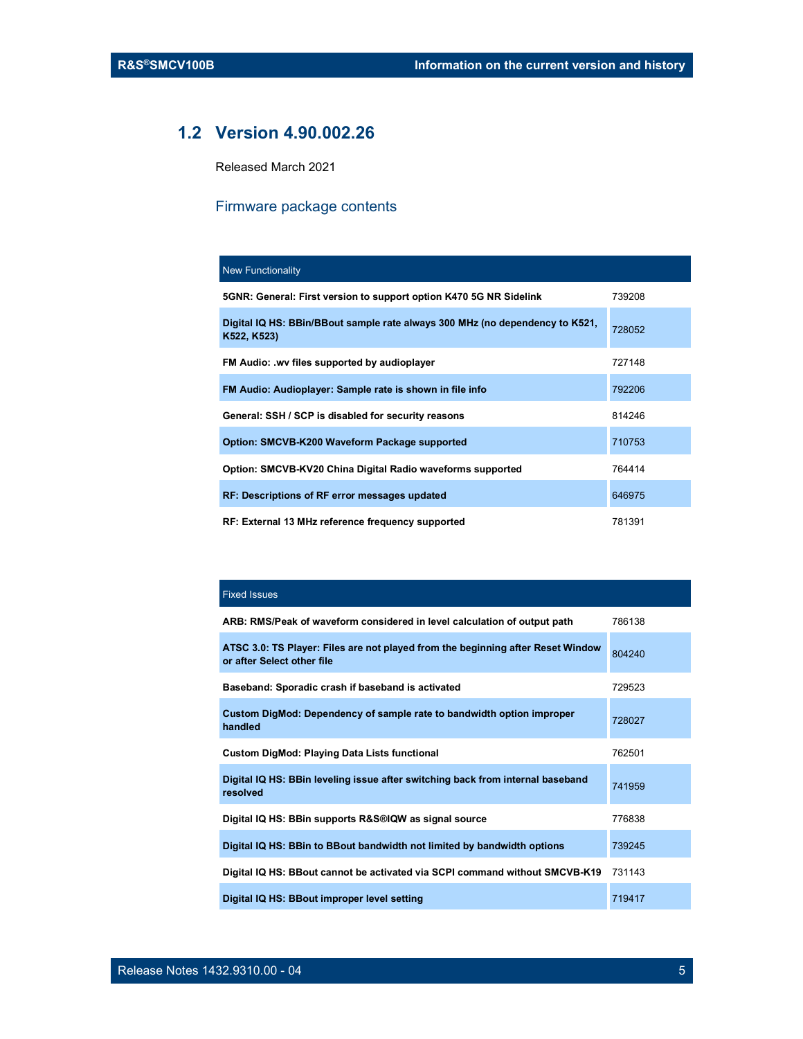### 1.2 Version 4.90.002.26

Released March 2021

### Firmware package contents

| <b>New Functionality</b>                                                                    |        |
|---------------------------------------------------------------------------------------------|--------|
| 5GNR: General: First version to support option K470 5G NR Sidelink                          | 739208 |
| Digital IQ HS: BBin/BBout sample rate always 300 MHz (no dependency to K521,<br>K522, K523) | 728052 |
| FM Audio: .wv files supported by audioplayer                                                | 727148 |
| FM Audio: Audioplayer: Sample rate is shown in file info                                    | 792206 |
| General: SSH / SCP is disabled for security reasons                                         | 814246 |
| Option: SMCVB-K200 Waveform Package supported                                               | 710753 |
| Option: SMCVB-KV20 China Digital Radio waveforms supported                                  | 764414 |
| <b>RF: Descriptions of RF error messages updated</b>                                        | 646975 |
| RF: External 13 MHz reference frequency supported                                           | 781391 |

#### Fixed Issues

| ARB: RMS/Peak of waveform considered in level calculation of output path                                      | 786138 |
|---------------------------------------------------------------------------------------------------------------|--------|
| ATSC 3.0: TS Player: Files are not played from the beginning after Reset Window<br>or after Select other file | 804240 |
| Baseband: Sporadic crash if baseband is activated                                                             | 729523 |
| Custom DigMod: Dependency of sample rate to bandwidth option improper<br>handled                              | 728027 |
| <b>Custom DigMod: Playing Data Lists functional</b>                                                           | 762501 |
| Digital IQ HS: BBin leveling issue after switching back from internal baseband<br>resolved                    | 741959 |
| Digital IQ HS: BBin supports R&S®IQW as signal source                                                         | 776838 |
| Digital IQ HS: BBin to BBout bandwidth not limited by bandwidth options                                       | 739245 |
| Digital IQ HS: BBout cannot be activated via SCPI command without SMCVB-K19                                   | 731143 |
| Digital IQ HS: BBout improper level setting                                                                   | 719417 |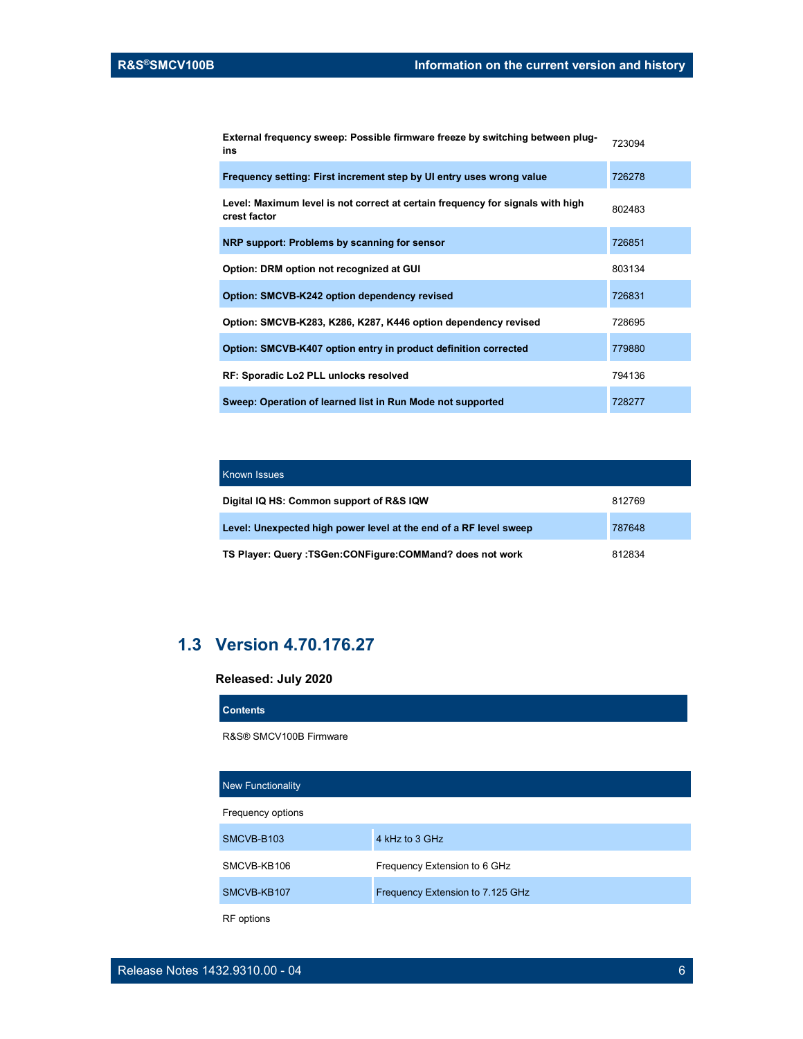External frequency sweep: Possible firmware freeze by switching between plug- <sub>723094</sub><br>ins

| Frequency setting: First increment step by UI entry uses wrong value                           | 726278 |
|------------------------------------------------------------------------------------------------|--------|
| Level: Maximum level is not correct at certain frequency for signals with high<br>crest factor | 802483 |
| NRP support: Problems by scanning for sensor                                                   | 726851 |
| Option: DRM option not recognized at GUI                                                       | 803134 |
| Option: SMCVB-K242 option dependency revised                                                   | 726831 |
| Option: SMCVB-K283, K286, K287, K446 option dependency revised                                 | 728695 |
| Option: SMCVB-K407 option entry in product definition corrected                                | 779880 |
| RF: Sporadic Lo2 PLL unlocks resolved                                                          | 794136 |
| Sweep: Operation of learned list in Run Mode not supported                                     | 728277 |

| <b>Known Issues</b>                                               |        |
|-------------------------------------------------------------------|--------|
| Digital IQ HS: Common support of R&S IQW                          | 812769 |
| Level: Unexpected high power level at the end of a RF level sweep | 787648 |
| TS Player: Query :TSGen:CONFigure:COMMand? does not work          | 812834 |

### 1.3 Version 4.70.176.27

#### Released: July 2020

| <b>Contents</b>          |                                  |  |
|--------------------------|----------------------------------|--|
| R&S® SMCV100B Firmware   |                                  |  |
|                          |                                  |  |
| <b>New Functionality</b> |                                  |  |
| Frequency options        |                                  |  |
| SMCVB-B103               | 4 kHz to 3 GHz                   |  |
| SMCVB-KB106              | Frequency Extension to 6 GHz     |  |
| SMCVB-KB107              | Frequency Extension to 7.125 GHz |  |
| <b>RF</b> options        |                                  |  |

Release Notes 1432.9310.00 - 04 6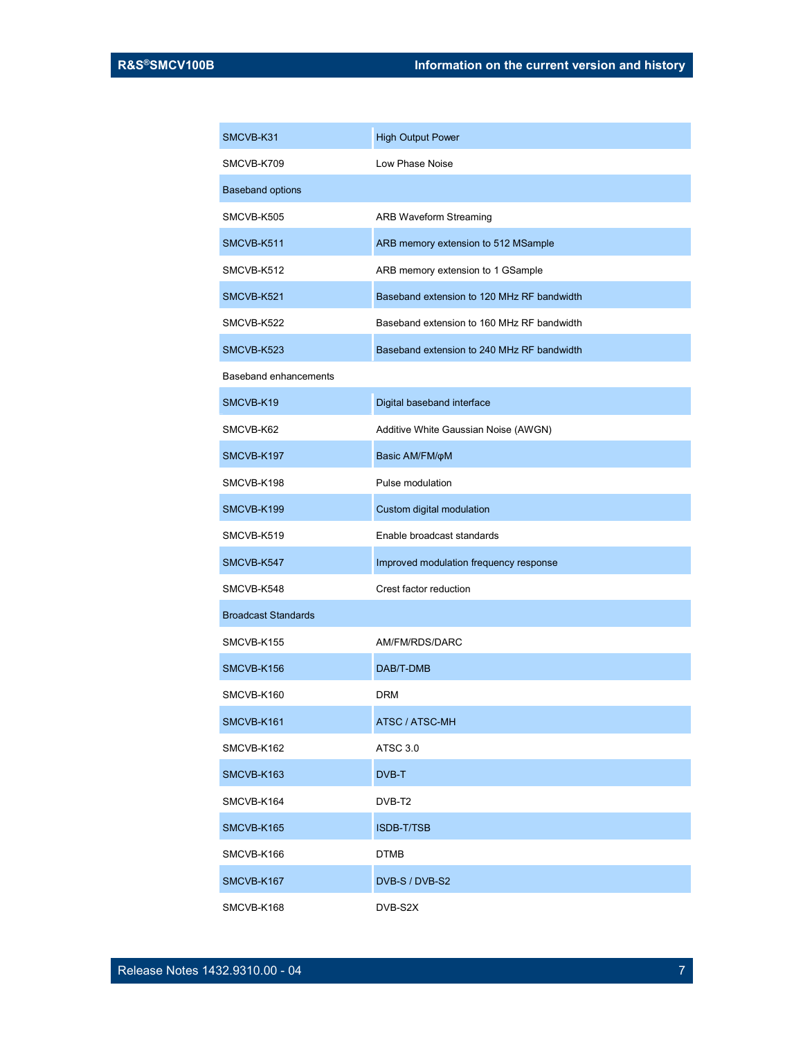| SMCVB-K31                    | <b>High Output Power</b>                   |
|------------------------------|--------------------------------------------|
| SMCVB-K709                   | Low Phase Noise                            |
| <b>Baseband options</b>      |                                            |
| SMCVB-K505                   | <b>ARB Waveform Streaming</b>              |
| SMCVB-K511                   | ARB memory extension to 512 MSample        |
| SMCVB-K512                   | ARB memory extension to 1 GSample          |
| SMCVB-K521                   | Baseband extension to 120 MHz RF bandwidth |
| SMCVB-K522                   | Baseband extension to 160 MHz RF bandwidth |
| SMCVB-K523                   | Baseband extension to 240 MHz RF bandwidth |
| <b>Baseband enhancements</b> |                                            |
| SMCVB-K19                    | Digital baseband interface                 |
| SMCVB-K62                    | Additive White Gaussian Noise (AWGN)       |
| SMCVB-K197                   | Basic AM/FM/ $\phi$ M                      |
| SMCVB-K198                   | Pulse modulation                           |
| SMCVB-K199                   | Custom digital modulation                  |
| SMCVB-K519                   | Enable broadcast standards                 |
| SMCVB-K547                   | Improved modulation frequency response     |
| SMCVB-K548                   | Crest factor reduction                     |
| <b>Broadcast Standards</b>   |                                            |
| SMCVB-K155                   | AM/FM/RDS/DARC                             |
| SMCVB-K156                   | DAB/T-DMB                                  |
| SMCVB-K160                   | <b>DRM</b>                                 |
| SMCVB-K161                   | ATSC / ATSC-MH                             |
| SMCVB-K162                   | ATSC 3.0                                   |
| SMCVB-K163                   | DVB-T                                      |
| SMCVB-K164                   | DVB-T2                                     |
| SMCVB-K165                   | <b>ISDB-T/TSB</b>                          |
| SMCVB-K166                   | <b>DTMB</b>                                |
| SMCVB-K167                   | DVB-S / DVB-S2                             |
| SMCVB-K168                   | DVB-S2X                                    |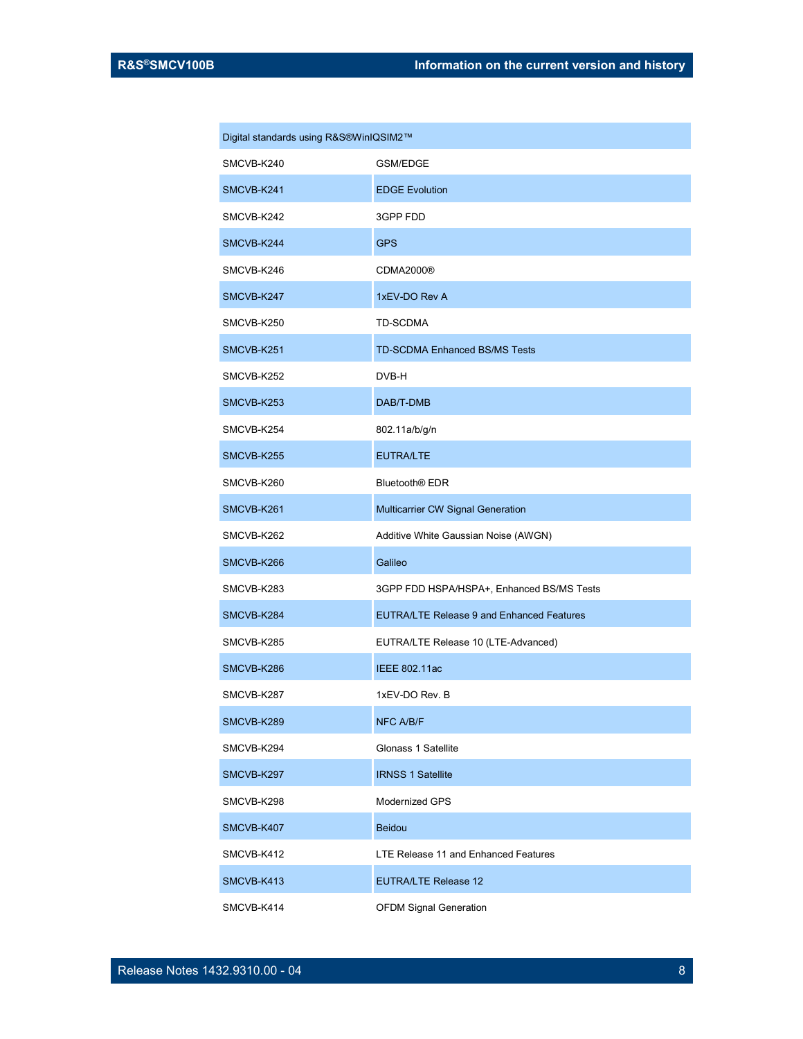| Digital standards using R&S®WinIQSIM2™ |                                                  |  |
|----------------------------------------|--------------------------------------------------|--|
| SMCVB-K240                             | GSM/EDGE                                         |  |
| SMCVB-K241                             | <b>EDGE Evolution</b>                            |  |
| SMCVB-K242                             | 3GPP FDD                                         |  |
| SMCVB-K244                             | GPS                                              |  |
| SMCVB-K246                             | CDMA2000®                                        |  |
| SMCVB-K247                             | 1xEV-DO Rev A                                    |  |
| SMCVB-K250                             | TD-SCDMA                                         |  |
| SMCVB-K251                             | <b>TD-SCDMA Enhanced BS/MS Tests</b>             |  |
| SMCVB-K252                             | DVB-H                                            |  |
| SMCVB-K253                             | DAB/T-DMB                                        |  |
| SMCVB-K254                             | 802.11a/b/g/n                                    |  |
| SMCVB-K255                             | <b>EUTRA/LTE</b>                                 |  |
| SMCVB-K260                             | Bluetooth <sup>®</sup> EDR                       |  |
| SMCVB-K261                             | Multicarrier CW Signal Generation                |  |
| SMCVB-K262                             | Additive White Gaussian Noise (AWGN)             |  |
| SMCVB-K266                             | Galileo                                          |  |
| SMCVB-K283                             | 3GPP FDD HSPA/HSPA+, Enhanced BS/MS Tests        |  |
| SMCVB-K284                             | <b>EUTRA/LTE Release 9 and Enhanced Features</b> |  |
| SMCVB-K285                             | EUTRA/LTE Release 10 (LTE-Advanced)              |  |
| SMCVB-K286                             | <b>IEEE 802.11ac</b>                             |  |
| SMCVB-K287                             | 1xEV-DO Rev. B                                   |  |
| SMCVB-K289                             | <b>NFC A/B/F</b>                                 |  |
| SMCVB-K294                             | Glonass 1 Satellite                              |  |
| SMCVB-K297                             | <b>IRNSS 1 Satellite</b>                         |  |
| SMCVB-K298                             | <b>Modernized GPS</b>                            |  |
| SMCVB-K407                             | <b>Beidou</b>                                    |  |
| SMCVB-K412                             | LTE Release 11 and Enhanced Features             |  |
| SMCVB-K413                             | <b>EUTRA/LTE Release 12</b>                      |  |
| SMCVB-K414                             | <b>OFDM Signal Generation</b>                    |  |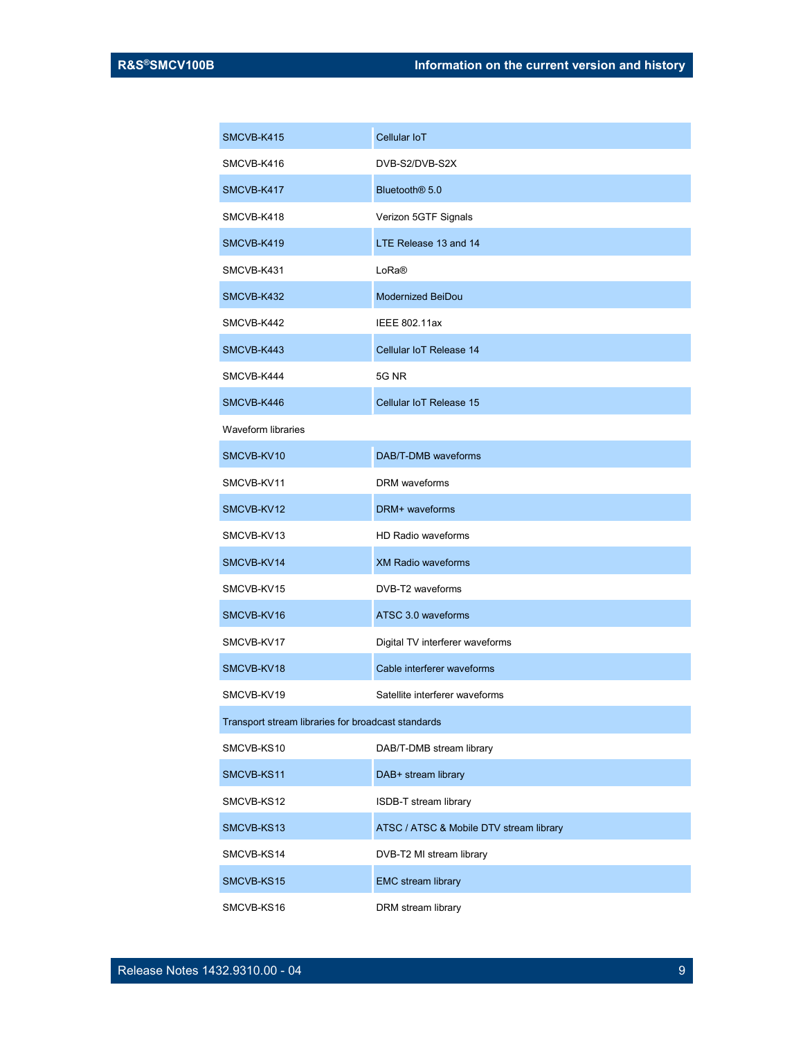| SMCVB-K415                                         | Cellular IoT                            |  |
|----------------------------------------------------|-----------------------------------------|--|
| SMCVB-K416                                         | DVB-S2/DVB-S2X                          |  |
| SMCVB-K417                                         | Bluetooth <sup>®</sup> 5.0              |  |
| SMCVB-K418                                         | Verizon 5GTF Signals                    |  |
| SMCVB-K419                                         | LTE Release 13 and 14                   |  |
| SMCVB-K431                                         | LoRa®                                   |  |
| SMCVB-K432                                         | Modernized BeiDou                       |  |
| SMCVB-K442                                         | <b>IEEE 802.11ax</b>                    |  |
| SMCVB-K443                                         | Cellular IoT Release 14                 |  |
| SMCVB-K444                                         | <b>5G NR</b>                            |  |
| SMCVB-K446                                         | Cellular IoT Release 15                 |  |
| <b>Waveform libraries</b>                          |                                         |  |
| SMCVB-KV10                                         | DAB/T-DMB waveforms                     |  |
| SMCVB-KV11                                         | <b>DRM</b> waveforms                    |  |
| SMCVB-KV12                                         | DRM+ waveforms                          |  |
| SMCVB-KV13                                         | <b>HD Radio waveforms</b>               |  |
| SMCVB-KV14                                         | <b>XM Radio waveforms</b>               |  |
| SMCVB-KV15                                         | DVB-T2 waveforms                        |  |
| SMCVB-KV16                                         | ATSC 3.0 waveforms                      |  |
| SMCVB-KV17                                         | Digital TV interferer waveforms         |  |
| SMCVB-KV18                                         | Cable interferer waveforms              |  |
| SMCVB-KV19                                         | Satellite interferer waveforms          |  |
| Transport stream libraries for broadcast standards |                                         |  |
| SMCVB-KS10                                         | DAB/T-DMB stream library                |  |
| SMCVB-KS11                                         | DAB+ stream library                     |  |
| SMCVB-KS12                                         | ISDB-T stream library                   |  |
| SMCVB-KS13                                         | ATSC / ATSC & Mobile DTV stream library |  |
| SMCVB-KS14                                         | DVB-T2 MI stream library                |  |
| SMCVB-KS15                                         | <b>EMC</b> stream library               |  |
| SMCVB-KS16                                         | DRM stream library                      |  |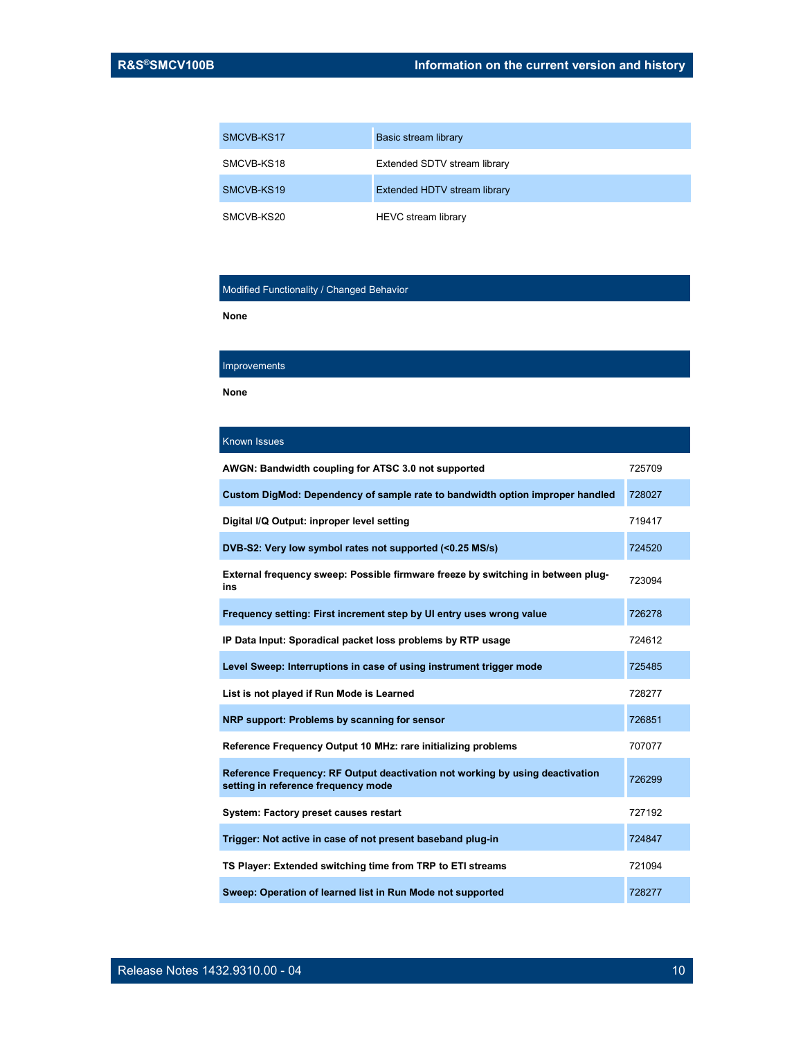| SMCVB-KS17 | Basic stream library         |
|------------|------------------------------|
| SMCVB-KS18 | Extended SDTV stream library |
| SMCVB-KS19 | Extended HDTV stream library |
| SMCVB-KS20 | HEVC stream library          |

#### Modified Functionality / Changed Behavior

None

#### **Improvements**

None

| <b>Known Issues</b>                                                                                                  |        |
|----------------------------------------------------------------------------------------------------------------------|--------|
| AWGN: Bandwidth coupling for ATSC 3.0 not supported                                                                  | 725709 |
| Custom DigMod: Dependency of sample rate to bandwidth option improper handled                                        | 728027 |
| Digital I/Q Output: inproper level setting                                                                           | 719417 |
| DVB-S2: Very low symbol rates not supported (<0.25 MS/s)                                                             | 724520 |
| External frequency sweep: Possible firmware freeze by switching in between plug-<br>ins                              | 723094 |
| Frequency setting: First increment step by UI entry uses wrong value                                                 | 726278 |
| IP Data Input: Sporadical packet loss problems by RTP usage                                                          | 724612 |
| Level Sweep: Interruptions in case of using instrument trigger mode                                                  | 725485 |
| List is not played if Run Mode is Learned                                                                            | 728277 |
| NRP support: Problems by scanning for sensor                                                                         | 726851 |
| Reference Frequency Output 10 MHz: rare initializing problems                                                        | 707077 |
| Reference Frequency: RF Output deactivation not working by using deactivation<br>setting in reference frequency mode | 726299 |
| System: Factory preset causes restart                                                                                | 727192 |
| Trigger: Not active in case of not present baseband plug-in                                                          | 724847 |
| TS Player: Extended switching time from TRP to ETI streams                                                           | 721094 |
| Sweep: Operation of learned list in Run Mode not supported                                                           | 728277 |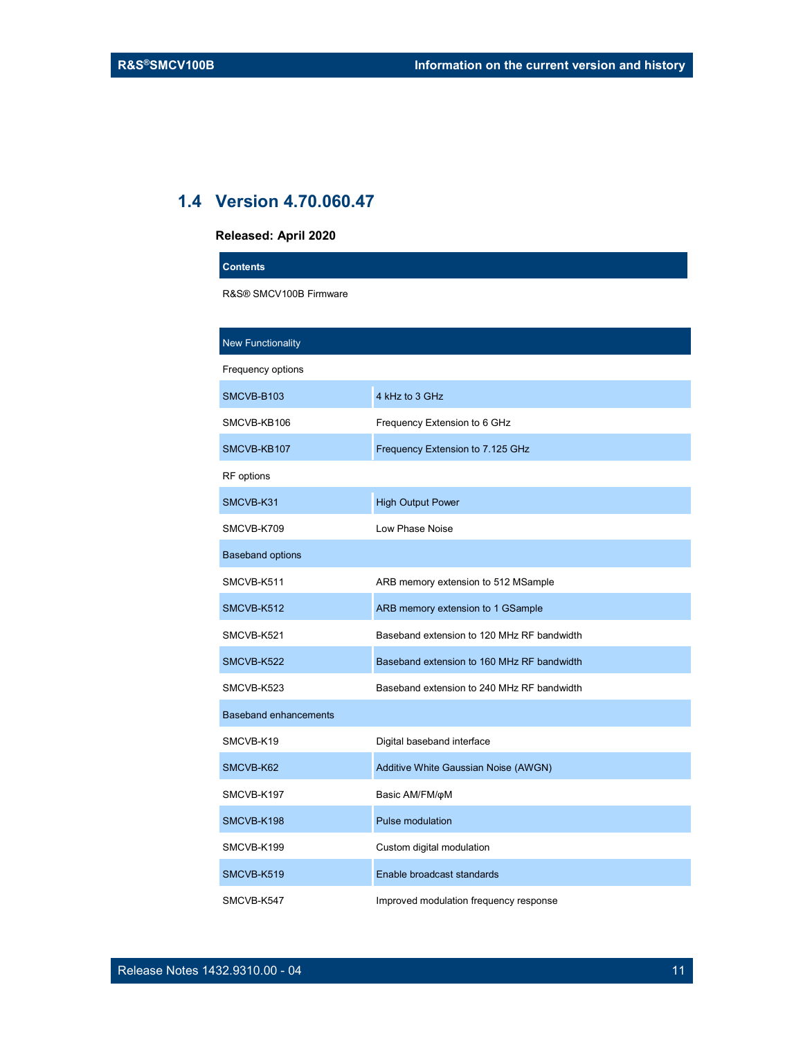## 1.4 Version 4.70.060.47

#### Released: April 2020

| nologoog, April Easg         |                                            |
|------------------------------|--------------------------------------------|
| <b>Contents</b>              |                                            |
| R&S® SMCV100B Firmware       |                                            |
|                              |                                            |
| <b>New Functionality</b>     |                                            |
| Frequency options            |                                            |
| SMCVB-B103                   | 4 kHz to 3 GHz                             |
| SMCVB-KB106                  | Frequency Extension to 6 GHz               |
| SMCVB-KB107                  | Frequency Extension to 7.125 GHz           |
| RF options                   |                                            |
| SMCVB-K31                    | <b>High Output Power</b>                   |
| SMCVB-K709                   | Low Phase Noise                            |
| <b>Baseband options</b>      |                                            |
| SMCVB-K511                   | ARB memory extension to 512 MSample        |
| SMCVB-K512                   | ARB memory extension to 1 GSample          |
| SMCVB-K521                   | Baseband extension to 120 MHz RF bandwidth |
| SMCVB-K522                   | Baseband extension to 160 MHz RF bandwidth |
| SMCVB-K523                   | Baseband extension to 240 MHz RF bandwidth |
| <b>Baseband enhancements</b> |                                            |
| SMCVB-K19                    | Digital baseband interface                 |
| SMCVB-K62                    | Additive White Gaussian Noise (AWGN)       |
| SMCVB-K197                   | Basic AM/FM/oM                             |
| SMCVB-K198                   | Pulse modulation                           |
| SMCVB-K199                   | Custom digital modulation                  |
| SMCVB-K519                   | Enable broadcast standards                 |
| SMCVB-K547                   | Improved modulation frequency response     |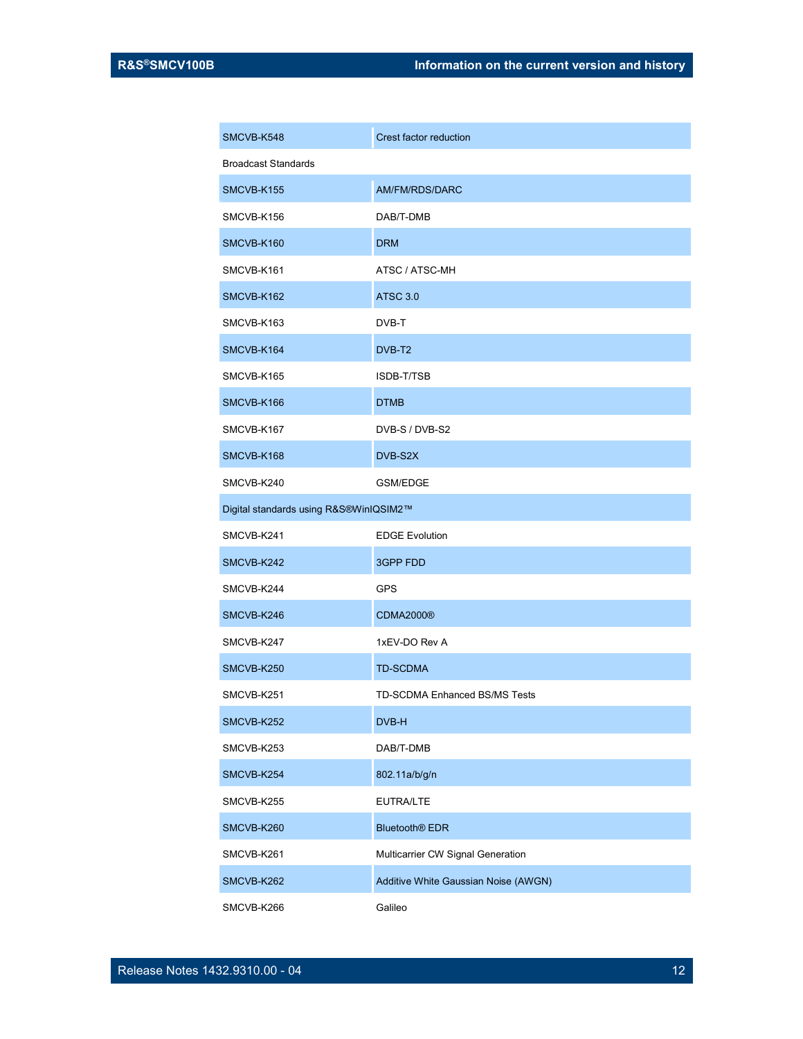| SMCVB-K548                             | Crest factor reduction               |
|----------------------------------------|--------------------------------------|
| <b>Broadcast Standards</b>             |                                      |
| SMCVB-K155                             | <b>AM/FM/RDS/DARC</b>                |
| SMCVB-K156                             | DAB/T-DMB                            |
| SMCVB-K160                             | <b>DRM</b>                           |
| SMCVB-K161                             | ATSC / ATSC-MH                       |
| SMCVB-K162                             | <b>ATSC 3.0</b>                      |
| SMCVB-K163                             | DVB-T                                |
| SMCVB-K164                             | DVB-T <sub>2</sub>                   |
| SMCVB-K165                             | ISDB-T/TSB                           |
| SMCVB-K166                             | <b>DTMB</b>                          |
| SMCVB-K167                             | DVB-S / DVB-S2                       |
| SMCVB-K168                             | DVB-S2X                              |
| SMCVB-K240                             | <b>GSM/EDGE</b>                      |
| Digital standards using R&S®WinIQSIM2™ |                                      |
| SMCVB-K241                             | <b>EDGE Evolution</b>                |
| SMCVB-K242                             | <b>3GPP FDD</b>                      |
| SMCVB-K244                             | GPS                                  |
| SMCVB-K246                             | <b>CDMA2000®</b>                     |
| SMCVB-K247                             | 1xEV-DO Rev A                        |
| SMCVB-K250                             | TD-SCDMA                             |
| SMCVB-K251                             | TD-SCDMA Enhanced BS/MS Tests        |
| SMCVB-K252                             | DVB-H                                |
| SMCVB-K253                             | DAB/T-DMB                            |
| SMCVB-K254                             | 802.11a/b/g/n                        |
| SMCVB-K255                             | EUTRA/LTE                            |
| SMCVB-K260                             | <b>Bluetooth<sup>®</sup></b> EDR     |
| SMCVB-K261                             | Multicarrier CW Signal Generation    |
| SMCVB-K262                             | Additive White Gaussian Noise (AWGN) |
| SMCVB-K266                             | Galileo                              |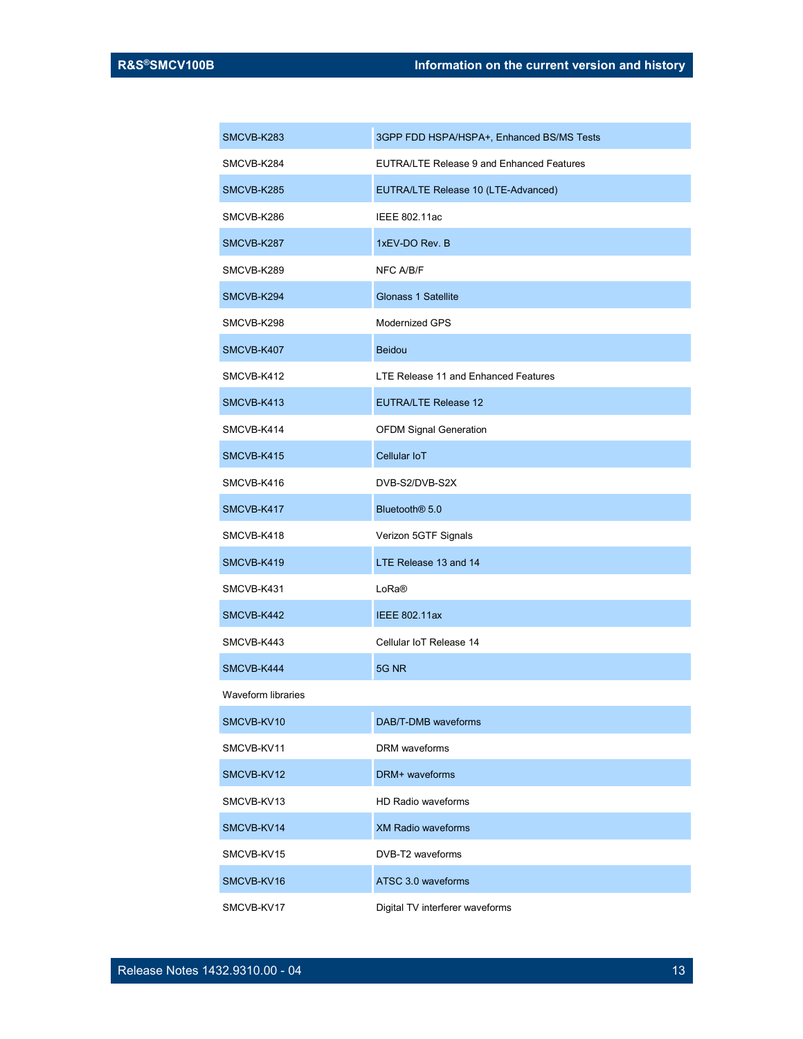| SMCVB-K283                | 3GPP FDD HSPA/HSPA+, Enhanced BS/MS Tests        |
|---------------------------|--------------------------------------------------|
| SMCVB-K284                | <b>EUTRA/LTE Release 9 and Enhanced Features</b> |
| SMCVB-K285                | EUTRA/LTE Release 10 (LTE-Advanced)              |
| SMCVB-K286                | IEEE 802.11ac                                    |
| SMCVB-K287                | 1xEV-DO Rev. B                                   |
| SMCVB-K289                | NFC A/B/F                                        |
| SMCVB-K294                | <b>Glonass 1 Satellite</b>                       |
| SMCVB-K298                | <b>Modernized GPS</b>                            |
| SMCVB-K407                | <b>Beidou</b>                                    |
| SMCVB-K412                | LTE Release 11 and Enhanced Features             |
| SMCVB-K413                | <b>EUTRA/LTE Release 12</b>                      |
| SMCVB-K414                | <b>OFDM Signal Generation</b>                    |
| SMCVB-K415                | Cellular IoT                                     |
| SMCVB-K416                | DVB-S2/DVB-S2X                                   |
| SMCVB-K417                | Bluetooth <sup>®</sup> 5.0                       |
| SMCVB-K418                | Verizon 5GTF Signals                             |
| SMCVB-K419                | LTE Release 13 and 14                            |
| SMCVB-K431                | LoRa®                                            |
| SMCVB-K442                | <b>IEEE 802.11ax</b>                             |
| SMCVB-K443                | Cellular IoT Release 14                          |
| SMCVB-K444                | 5G NR                                            |
| <b>Waveform libraries</b> |                                                  |
| SMCVB-KV10                | DAB/T-DMB waveforms                              |
| SMCVB-KV11                | DRM waveforms                                    |
| SMCVB-KV12                | DRM+ waveforms                                   |
| SMCVB-KV13                | <b>HD Radio waveforms</b>                        |
| SMCVB-KV14                | <b>XM Radio waveforms</b>                        |
| SMCVB-KV15                | DVB-T2 waveforms                                 |
| SMCVB-KV16                | ATSC 3.0 waveforms                               |
| SMCVB-KV17                | Digital TV interferer waveforms                  |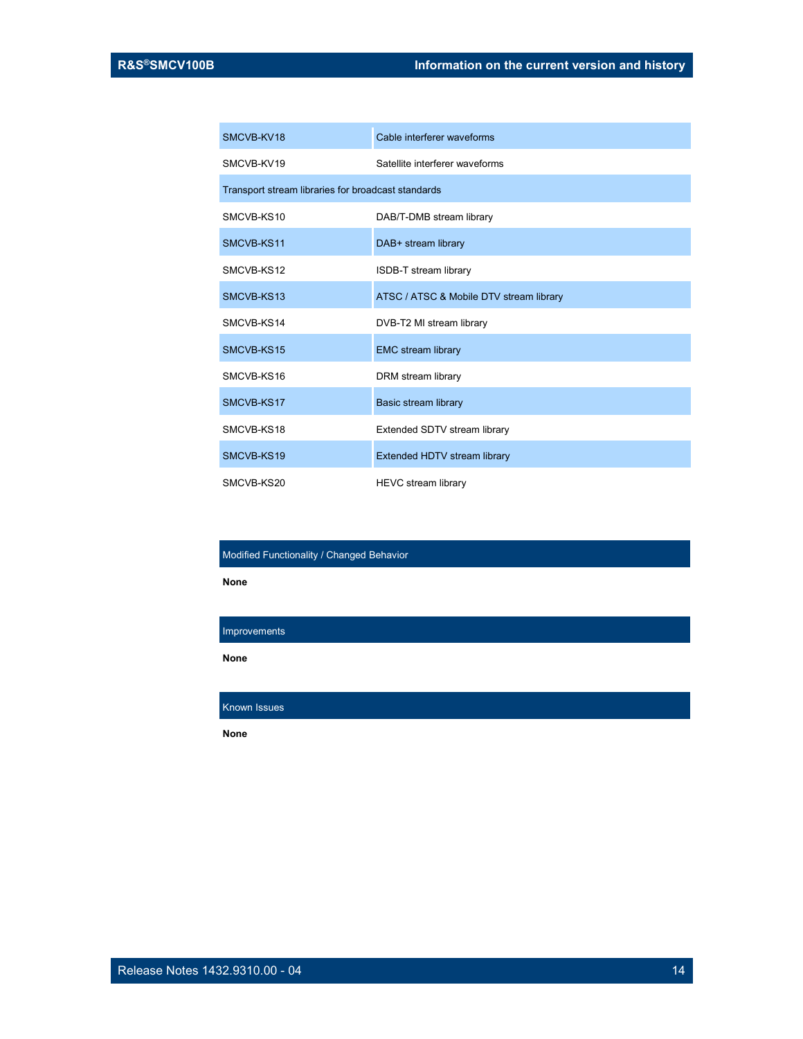| SMCVB-KV18                                         | Cable interferer waveforms              |  |
|----------------------------------------------------|-----------------------------------------|--|
| SMCVB-KV19                                         | Satellite interferer waveforms          |  |
| Transport stream libraries for broadcast standards |                                         |  |
| SMCVB-KS10                                         | DAB/T-DMB stream library                |  |
| SMCVB-KS11                                         | DAB+ stream library                     |  |
| SMCVB-KS12                                         | <b>ISDB-T stream library</b>            |  |
| SMCVB-KS13                                         | ATSC / ATSC & Mobile DTV stream library |  |
| SMCVB-KS14                                         | DVB-T2 MI stream library                |  |
| SMCVB-KS15                                         | <b>EMC stream library</b>               |  |
| SMCVB-KS16                                         | DRM stream library                      |  |
| SMCVB-KS17                                         | Basic stream library                    |  |
| SMCVB-KS18                                         | Extended SDTV stream library            |  |
| SMCVB-KS19                                         | Extended HDTV stream library            |  |
| SMCVB-KS20                                         | HEVC stream library                     |  |

#### Modified Functionality / Changed Behavior

None

Improvements

None

Known Issues

None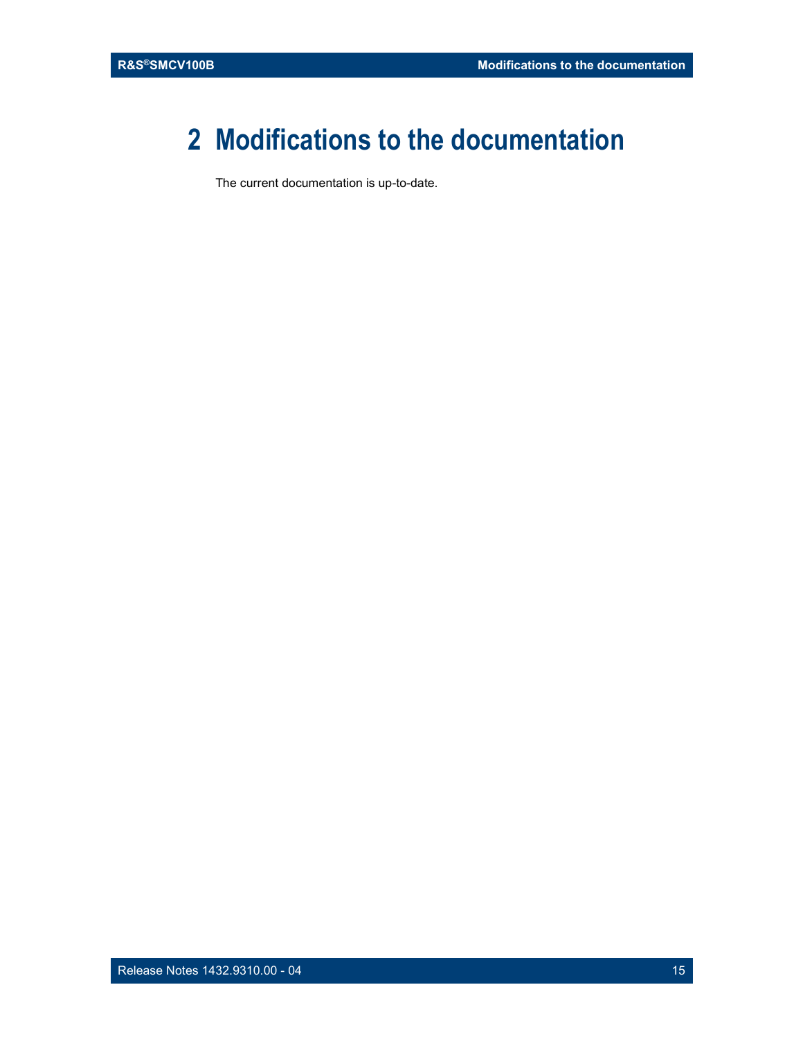# 2 Modifications to the documentation

The current documentation is up-to-date.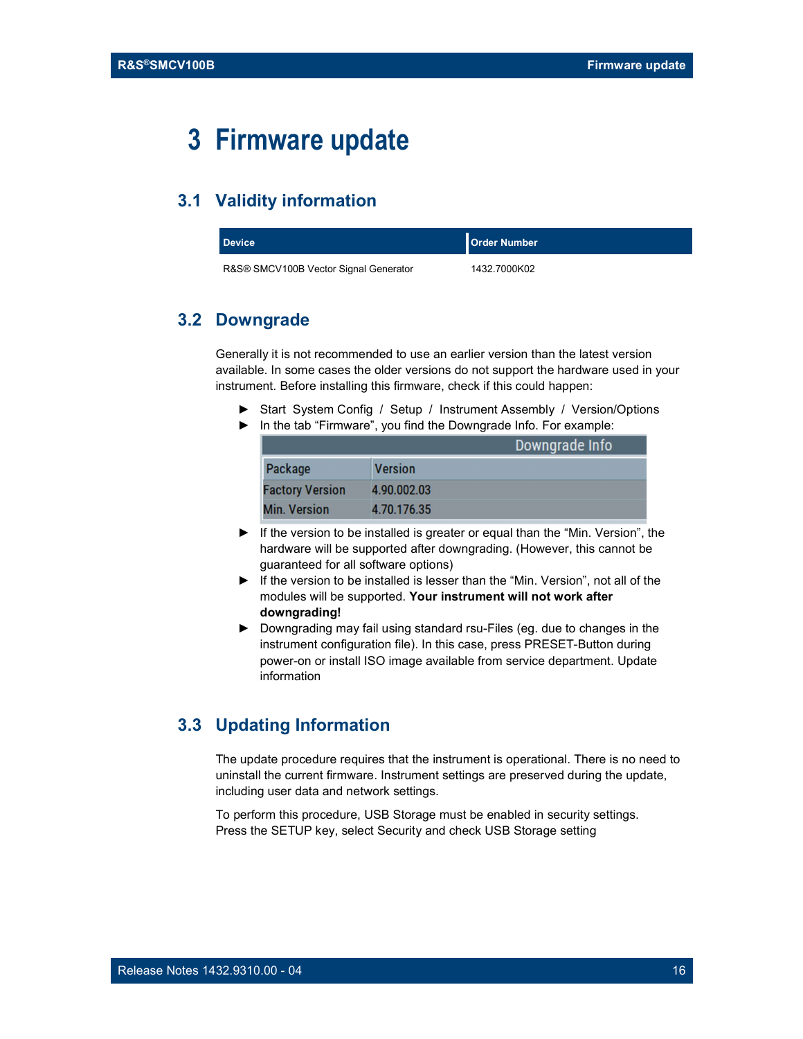# 3 Firmware update

### 3.1 Validity information

| <b>Device</b>                         | <b>Order Number</b> |
|---------------------------------------|---------------------|
| R&S® SMCV100B Vector Signal Generator | 1432.7000K02        |

#### 3.2 Downgrade

Generally it is not recommended to use an earlier version than the latest version available. In some cases the older versions do not support the hardware used in your instrument. Before installing this firmware, check if this could happen:

- ► Start System Config / Setup / Instrument Assembly / Version/Options
- ► In the tab "Firmware", you find the Downgrade Info. For example:

|                        |                | Downgrade Info |
|------------------------|----------------|----------------|
| Package                | <b>Version</b> |                |
| <b>Factory Version</b> | 4.90.002.03    |                |
| <b>Min. Version</b>    | 4.70.176.35    |                |

- ► If the version to be installed is greater or equal than the "Min. Version", the hardware will be supported after downgrading. (However, this cannot be guaranteed for all software options)
- ► If the version to be installed is lesser than the "Min. Version", not all of the modules will be supported. Your instrument will not work after downgrading!
- ► Downgrading may fail using standard rsu-Files (eg. due to changes in the instrument configuration file). In this case, press PRESET-Button during power-on or install ISO image available from service department. Update information

### 3.3 Updating Information

The update procedure requires that the instrument is operational. There is no need to uninstall the current firmware. Instrument settings are preserved during the update, including user data and network settings.

To perform this procedure, USB Storage must be enabled in security settings. Press the SETUP key, select Security and check USB Storage setting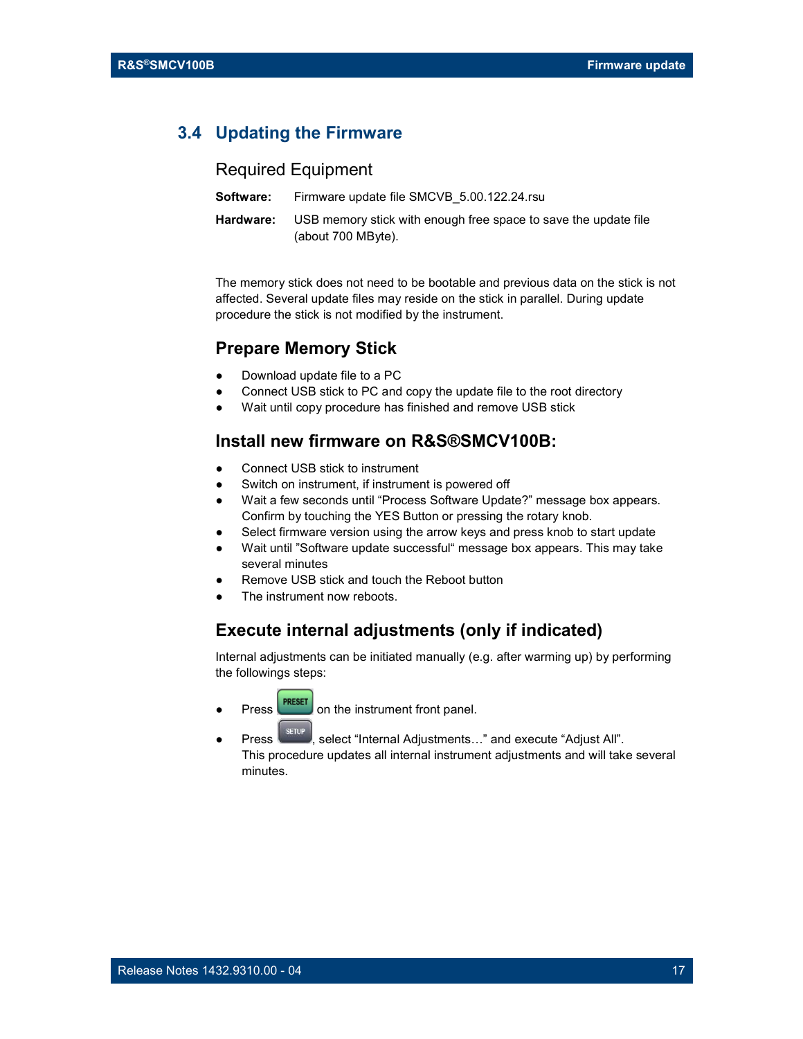#### 3.4 Updating the Firmware

#### Required Equipment

| Software: | Firmware update file SMCVB 5.00.122.24.rsu                                            |
|-----------|---------------------------------------------------------------------------------------|
| Hardware: | USB memory stick with enough free space to save the update file<br>(about 700 MByte). |

The memory stick does not need to be bootable and previous data on the stick is not affected. Several update files may reside on the stick in parallel. During update procedure the stick is not modified by the instrument.

#### Prepare Memory Stick

- Download update file to a PC
- Connect USB stick to PC and copy the update file to the root directory
- Wait until copy procedure has finished and remove USB stick

#### Install new firmware on R&S®SMCV100B:

- Connect USB stick to instrument
- Switch on instrument, if instrument is powered off
- Wait a few seconds until "Process Software Update?" message box appears. Confirm by touching the YES Button or pressing the rotary knob.
- Select firmware version using the arrow keys and press knob to start update
- Wait until "Software update successful" message box appears. This may take several minutes
- Remove USB stick and touch the Reboot button
- The instrument now reboots.

#### Execute internal adjustments (only if indicated)

Internal adjustments can be initiated manually (e.g. after warming up) by performing the followings steps:

- **Press PRESET** on the instrument front panel.
- **Press**  $\left\lVert \cdot \right\rVert$  select "Internal Adjustments..." and execute "Adjust All". This procedure updates all internal instrument adjustments and will take several minutes.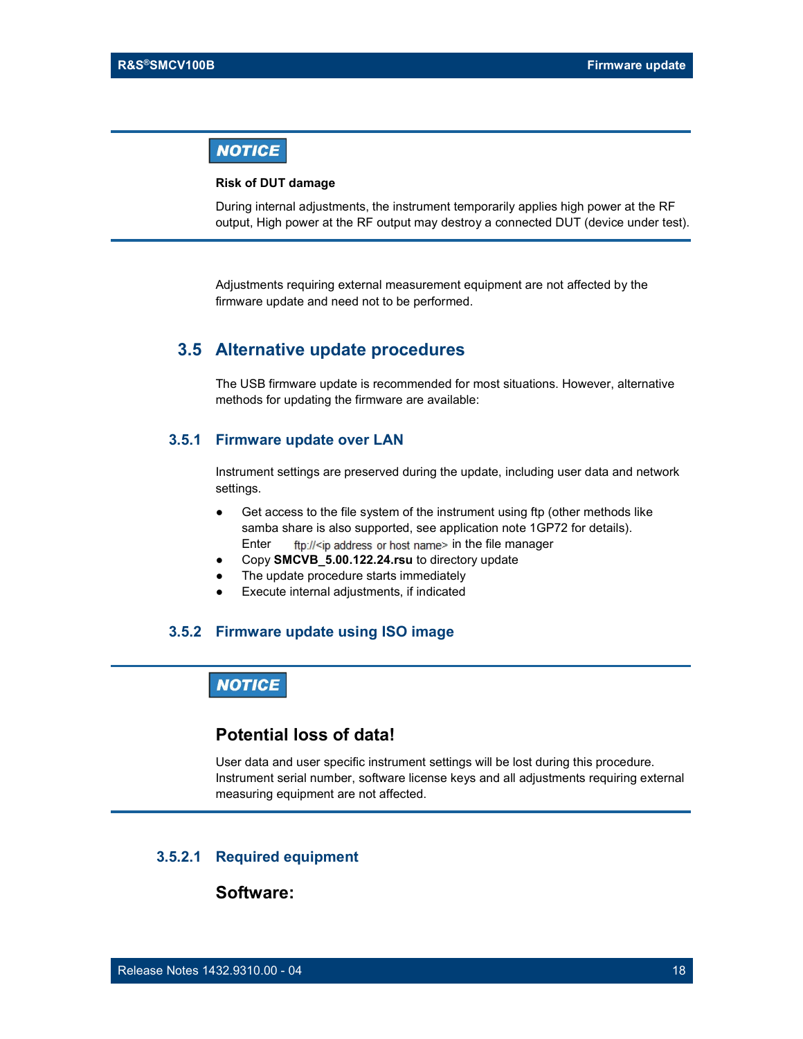#### **NOTICE**

 Risk of DUT damage During internal adjustments, the instrument temporarily applies high power at the RF output, High power at the RF output may destroy a connected DUT (device under test).

> Adjustments requiring external measurement equipment are not affected by the firmware update and need not to be performed.

#### 3.5 Alternative update procedures

The USB firmware update is recommended for most situations. However, alternative methods for updating the firmware are available:

#### 3.5.1 Firmware update over LAN

Instrument settings are preserved during the update, including user data and network settings.

- Get access to the file system of the instrument using ftp (other methods like samba share is also supported, see application note 1GP72 for details). Enter  $f_{\text{tp}}/|\langle i\rangle$  address or host name in the file manager
- Copy SMCVB\_5.00.122.24.rsu to directory update
- The update procedure starts immediately
- Execute internal adjustments, if indicated

#### 3.5.2 Firmware update using ISO image

#### **NOTICE**

#### Potential loss of data!

User data and user specific instrument settings will be lost during this procedure. Instrument serial number, software license keys and all adjustments requiring external measuring equipment are not affected.

#### 3.5.2.1 Required equipment

#### Software: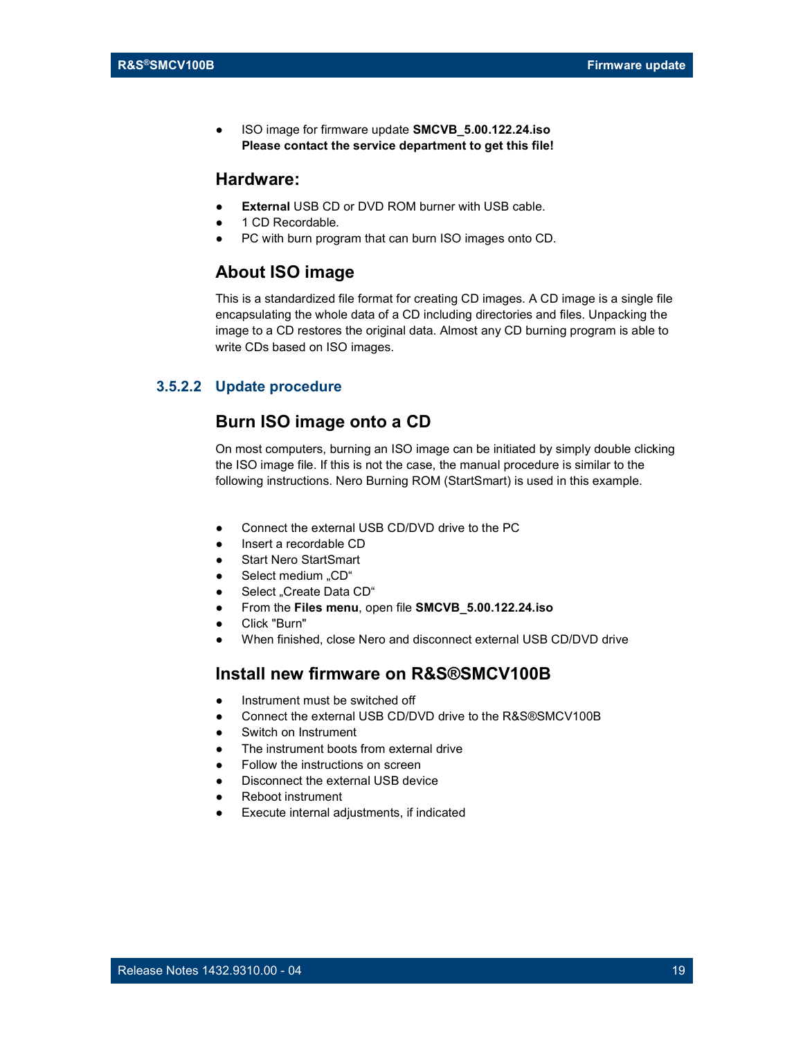● ISO image for firmware update SMCVB\_5.00.122.24.iso Please contact the service department to get this file!

#### Hardware:

- External USB CD or DVD ROM burner with USB cable.
- 1 CD Recordable.
- PC with burn program that can burn ISO images onto CD.

#### About ISO image

This is a standardized file format for creating CD images. A CD image is a single file encapsulating the whole data of a CD including directories and files. Unpacking the image to a CD restores the original data. Almost any CD burning program is able to write CDs based on ISO images.

#### 3.5.2.2 Update procedure

#### Burn ISO image onto a CD

On most computers, burning an ISO image can be initiated by simply double clicking the ISO image file. If this is not the case, the manual procedure is similar to the following instructions. Nero Burning ROM (StartSmart) is used in this example.

- Connect the external USB CD/DVD drive to the PC
- Insert a recordable CD
- **Start Nero StartSmart**
- Select medium "CD"
- Select "Create Data CD"
- From the Files menu, open file SMCVB\_5.00.122.24.iso
- Click "Burn"
- When finished, close Nero and disconnect external USB CD/DVD drive

#### Install new firmware on R&S®SMCV100B

- Instrument must be switched off
- Connect the external USB CD/DVD drive to the R&S®SMCV100B
- Switch on Instrument
- The instrument boots from external drive
- Follow the instructions on screen
- Disconnect the external USB device
- Reboot instrument
- Execute internal adjustments, if indicated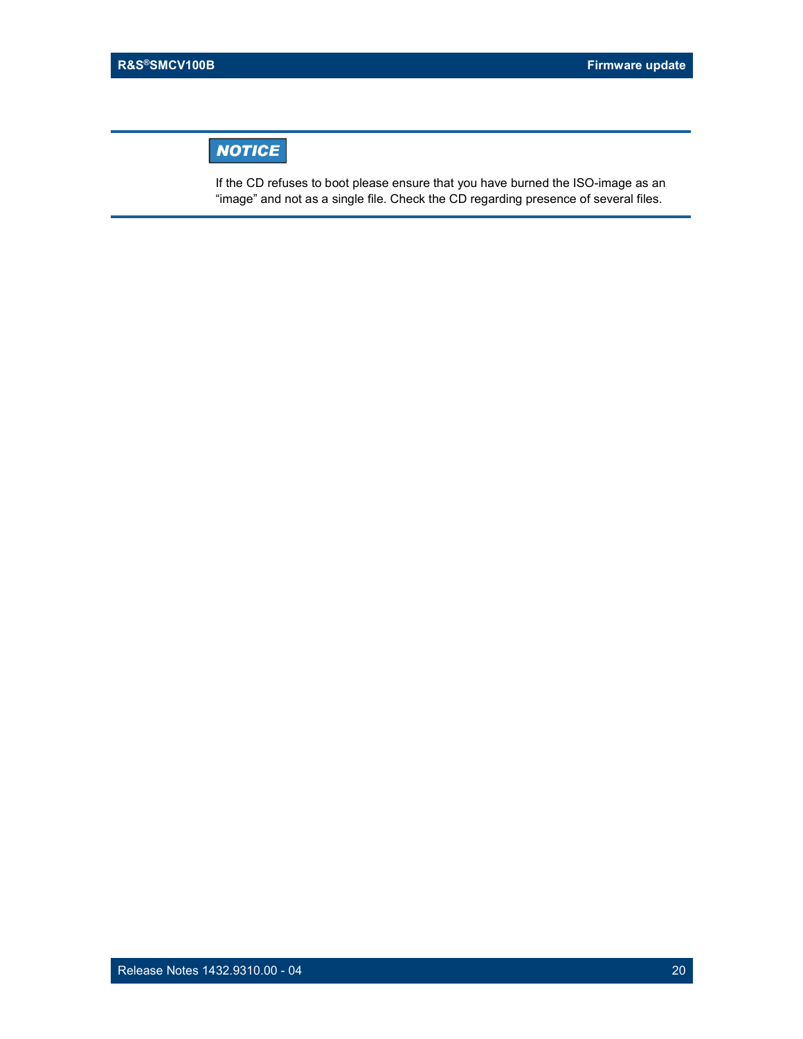# **NOTICE**

 $\frac{1}{2}$ If the CD refuses to boot please ensure that you have burned the ISO-image as an "image" and not as a single file. Check the CD regarding presence of several files.